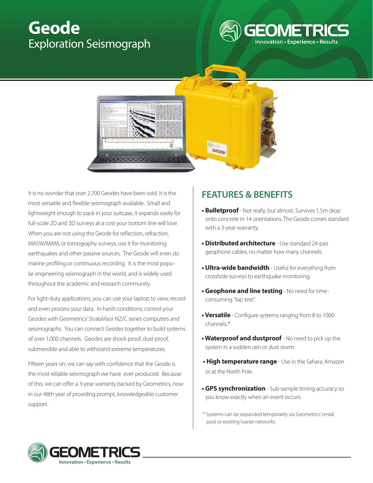## **Geode** Exploration Seismograph





It is no wonder that over 2,700 Geodes have been sold. It is the most versatile and flexible seismograph available. Small and lightweight enough to pack in your suitcase, it expands easily for full-scale 2D and 3D surveys at a cost your bottom line will love. When you are not using the Geode for reflection, refraction, MASW/MAM, or tomography surveys, use it for monitoring earthquakes and other passive sources. The Geode will even do marine profiling or continuous recording. It is the most popular engineering seismograph in the world, and is widely used throughout the academic and research community.

For light-duty applications, you can use your laptop to view, record and even process your data. In harsh conditions, control your Geodes with Geometrics' StrataVisor NZ/C series computers and seismographs. You can connect Geodes together to build systems of over 1,000 channels. Geodes are shock-proof, dust-proof, submersible and able to withstand extreme temperatures.

Fifteen years on, we can say with confidence that the Geode is the most reliable seismograph we have ever produced. Because of this, we can offer a 3-year warranty backed by Geometrics, now in our 48th year of providing prompt, knowledgeable customer support.

## **FEATURES & BENEFITS**

- **Bulletproof** Not really, but almost. Survives 1.5m drop onto concrete in 14 orientations. The Geode comes standard with a 3-year warranty.
- **Distributed architecture** Use standard 24-pair geophone cables, no matter how many channels.
- **Ultra-wide bandwidth** Useful for everything from crosshole surveys to earthquake monitoring.
- **Geophone and line testing** No need for timeconsuming "tap test".
- **Versatile**  Configure systems ranging from 8 to 1000 channels. \*
- **Waterproof and dustproof** No need to pick up the system in a sudden rain or dust storm.
- **High temperature range** Use in the Sahara, Amazon or at the North Pole.
- **GPS synchronization** Sub-sample timing accuracy so you know exactly when an event occurs.
- \* Systems can be expanded temporarily via Geometrics' rental pool or existing loaner networks.